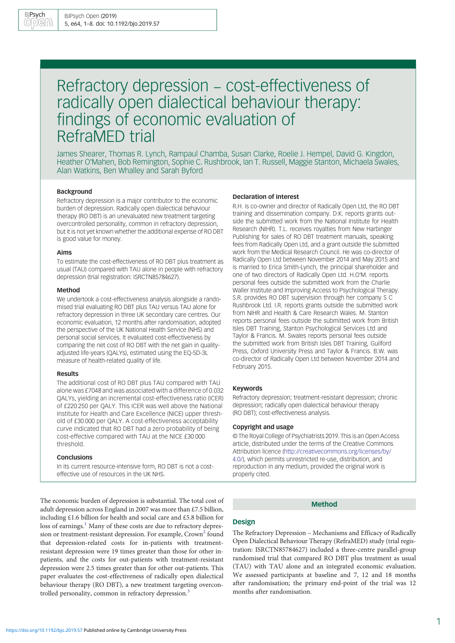BJPsych

BJPsych Open (2019)

# Refractory depression – cost-effectiveness of radically open dialectical behaviour therapy: findings of economic evaluation of RefraMED trial

James Shearer, Thomas R. Lynch, Rampaul Chamba, Susan Clarke, Roelie J. Hempel, David G. Kingdon, Heather O'Mahen, Bob Remington, Sophie C. Rushbrook, Ian T. Russell, Maggie Stanton, Michaela Swales, Alan Watkins, Ben Whalley and Sarah Byford

## Background

Refractory depression is a major contributor to the economic burden of depression. Radically open dialectical behaviour therapy (RO DBT) is an unevaluated new treatment targeting overcontrolled personality, common in refractory depression, but it is not yet known whether the additional expense of RO DBT is good value for money.

## Aims

To estimate the cost-effectiveness of RO DBT plus treatment as usual (TAU) compared with TAU alone in people with refractory depression (trial registration: ISRCTN85784627).

#### Method

We undertook a cost-effectiveness analysis alongside a randomised trial evaluating RO DBT plus TAU versus TAU alone for refractory depression in three UK secondary care centres. Our economic evaluation, 12 months after randomisation, adopted the perspective of the UK National Health Service (NHS) and personal social services. It evaluated cost-effectiveness by comparing the net cost of RO DBT with the net gain in qualityadjusted life-years (QALYs), estimated using the EQ-5D-3L measure of health-related quality of life.

## Results

The additional cost of RO DBT plus TAU compared with TAU alone was £7048 and was associated with a difference of 0.032 QALYs, yielding an incremental cost-effectiveness ratio (ICER) of £220 250 per QALY. This ICER was well above the National Institute for Health and Care Excellence (NICE) upper threshold of £30 000 per QALY. A cost-effectiveness acceptability curve indicated that RO DBT had a zero probability of being cost-effective compared with TAU at the NICE £30 000 threshold.

#### **Conclusions**

In its current resource-intensive form, RO DBT is not a costeffective use of resources in the UK NHS.

The economic burden of depression is substantial. The total cost of adult depression across England in 2007 was more than £7.5 billion, including £1.6 billion for health and social care and £5.8 billion for loss of earnings.<sup>[1](#page-6-0)</sup> Many of these costs are due to refractory depres-sion or treatment-resistant depression. For example, Crown<sup>[2](#page-6-0)</sup> found that depression-related costs for in-patients with treatmentresistant depression were 19 times greater than those for other inpatients, and the costs for out-patients with treatment-resistant depression were 2.5 times greater than for other out-patients. This paper evaluates the cost-effectiveness of radically open dialectical behaviour therapy (RO DBT), a new treatment targeting overcon-trolled personality, common in refractory depression.<sup>[3](#page-6-0)</sup>

#### Declaration of interest

R.H. is co-owner and director of Radically Open Ltd, the RO DBT training and dissemination company. D.K. reports grants outside the submitted work from the National Institute for Health Research (NIHR). T.L. receives royalties from New Harbinger Publishing for sales of RO DBT treatment manuals, speaking fees from Radically Open Ltd, and a grant outside the submitted work from the Medical Research Council. He was co-director of Radically Open Ltd between November 2014 and May 2015 and is married to Erica Smith-Lynch, the principal shareholder and one of two directors of Radically Open Ltd. H.O'M. reports personal fees outside the submitted work from the Charlie Waller Institute and Improving Access to Psychological Therapy. S.R. provides RO DBT supervision through her company S C Rushbrook Ltd. I.R. reports grants outside the submitted work from NIHR and Health & Care Research Wales. M. Stanton reports personal fees outside the submitted work from British Isles DBT Training, Stanton Psychological Services Ltd and Taylor & Francis. M. Swales reports personal fees outside the submitted work from British Isles DBT Training, Guilford Press, Oxford University Press and Taylor & Francis. B.W. was co-director of Radically Open Ltd between November 2014 and February 2015.

## Keywords

Refractory depression; treatment-resistant depression; chronic depression; radically open dialectical behaviour therapy (RO DBT); cost-effectiveness analysis.

# Copyright and usage

© The Royal College of Psychiatrists 2019. This is an Open Access article, distributed under the terms of the Creative Commons Attribution licence ([http://creativecommons.org/licenses/by/](http://creativecommons.org/licenses/by/4.0/) [4.0/\)](http://creativecommons.org/licenses/by/4.0/), which permits unrestricted re-use, distribution, and reproduction in any medium, provided the original work is properly cited.

#### Method

# Design

The Refractory Depression – Mechanisms and Efficacy of Radically Open Dialectical Behaviour Therapy (RefraMED) study (trial registration: ISRCTN85784627) included a three-centre parallel-group randomised trial that compared RO DBT plus treatment as usual (TAU) with TAU alone and an integrated economic evaluation. We assessed participants at baseline and 7, 12 and 18 months after randomisation; the primary end-point of the trial was 12 months after randomisation.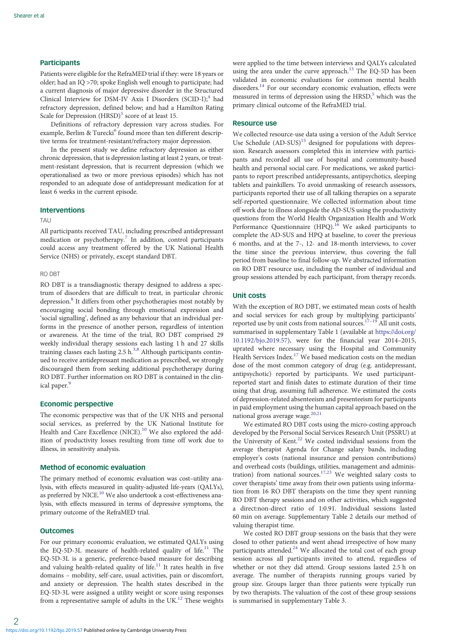# **Participants**

Patients were eligible for the RefraMED trial if they: were 18 years or older; had an IQ >70; spoke English well enough to participate; had a current diagnosis of major depressive disorder in the Structured Clinical Interview for DSM-IV Axis I Disorders (SCID-I);<sup>[4](#page-6-0)</sup> had refractory depression, defined below; and had a Hamilton Rating Scale for Depression  $(HRSD)^5$  $(HRSD)^5$  score of at least 15.

Definitions of refractory depression vary across studies. For example, Berlim & Turecki<sup>[6](#page-6-0)</sup> found more than ten different descriptive terms for treatment-resistant/refractory major depression.

In the present study we define refractory depression as either chronic depression, that is depression lasting at least 2 years, or treatment-resistant depression, that is recurrent depression (which we operationalised as two or more previous episodes) which has not responded to an adequate dose of antidepressant medication for at least 6 weeks in the current episode.

#### Interventions

TAU

All participants received TAU, including prescribed antidepressant medication or psychotherapy.<sup>[7](#page-6-0)</sup> In addition, control participants could access any treatment offered by the UK National Health Service (NHS) or privately, except standard DBT.

#### RO DBT

RO DBT is a transdiagnostic therapy designed to address a spectrum of disorders that are difficult to treat, in particular chronic depression.<sup>[8](#page-6-0)</sup> It differs from other psychotherapies most notably by encouraging social bonding through emotional expression and 'social signalling', defined as any behaviour that an individual performs in the presence of another person, regardless of intention or awareness. At the time of the trial, RO DBT comprised 29 weekly individual therapy sessions each lasting 1 h and 27 skills training classes each lasting 2.5 h.<sup>[3](#page-6-0),[8](#page-6-0)</sup> Although participants continued to receive antidepressant medication as prescribed, we strongly discouraged them from seeking additional psychotherapy during RO DBT. Further information on RO DBT is contained in the clin-ical paper.<sup>[9](#page-6-0)</sup>

## Economic perspective

The economic perspective was that of the UK NHS and personal social services, as preferred by the UK National Institute for Health and Care Excellence (NICE).<sup>[10](#page-6-0)</sup> We also explored the addition of productivity losses resulting from time off work due to illness, in sensitivity analysis.

#### Method of economic evaluation

The primary method of economic evaluation was cost–utility analysis, with effects measured in quality-adjusted life-years (QALYs), as preferred by NICE.<sup>[10](#page-6-0)</sup> We also undertook a cost-effectiveness analysis, with effects measured in terms of depressive symptoms, the primary outcome of the RefraMED trial.

# **Outcomes**

For our primary economic evaluation, we estimated QALYs using the EQ-5D-3L measure of health-related quality of life.<sup>[11](#page-6-0)</sup> The EQ-5D-3L is a generic, preference-based measure for describing and valuing health-related quality of life.<sup>[11](#page-6-0)</sup> It rates health in five domains – mobility, self-care, usual activities, pain or discomfort, and anxiety or depression. The health states described in the EQ-5D-3L were assigned a utility weight or score using responses from a representative sample of adults in the UK.<sup>12</sup> These weights

were applied to the time between interviews and QALYs calculated using the area under the curve approach.<sup>[13](#page-6-0)</sup> The EQ-5D has been validated in economic evaluations for common mental health disorders.<sup>[14](#page-6-0)</sup> For our secondary economic evaluation, effects were measured in terms of depression using the HRSD,<sup>[5](#page-6-0)</sup> which was the primary clinical outcome of the RefraMED trial.

#### Resource use

We collected resource-use data using a version of the Adult Service Use Schedule  $(AD-SUS)^{15}$  $(AD-SUS)^{15}$  $(AD-SUS)^{15}$  designed for populations with depression. Research assessors completed this in interview with participants and recorded all use of hospital and community-based health and personal social care. For medications, we asked participants to report prescribed antidepressants, antipsychotics, sleeping tablets and painkillers. To avoid unmasking of research assessors, participants reported their use of all talking therapies on a separate self-reported questionnaire. We collected information about time off work due to illness alongside the AD-SUS using the productivity questions from the World Health Organization Health and Work Performance Questionnaire (HPQ).<sup>16</sup> We asked participants to complete the AD-SUS and HPQ at baseline, to cover the previous 6 months, and at the 7-, 12- and 18-month interviews, to cover the time since the previous interview, thus covering the full period from baseline to final follow-up. We abstracted information on RO DBT resource use, including the number of individual and group sessions attended by each participant, from therapy records.

# Unit costs

With the exception of RO DBT, we estimated mean costs of health and social services for each group by multiplying participants' reported use by unit costs from national sources.<sup>17–[19](#page-6-0)</sup> All unit costs, summarised in supplementary Table 1 (available at [https://doi.org/](https://doi.org/10.1192/bjo.2019.57) [10.1192/bjo.2019.57](https://doi.org/10.1192/bjo.2019.57)), were for the financial year 2014–2015, uprated where necessary using the Hospital and Community Health Services Index.<sup>17</sup> We based medication costs on the median dose of the most common category of drug (e.g. antidepressant, antipsychotic) reported by participants. We used participantreported start and finish dates to estimate duration of their time using that drug, assuming full adherence. We estimated the costs of depression-related absenteeism and presenteeism for participants in paid employment using the human capital approach based on the national gross average wage. $20,21$  $20,21$  $20,21$ 

We estimated RO DBT costs using the micro-costing approach developed by the Personal Social Services Research Unit (PSSRU) at the University of Kent.<sup>22</sup> We costed individual sessions from the average therapist Agenda for Change salary bands, including employer's costs (national insurance and pension contributions) and overhead costs (buildings, utilities, management and adminis-tration) from national sources.<sup>[17](#page-6-0),[23](#page-6-0)</sup> We weighted salary costs to cover therapists' time away from their own patients using information from 16 RO DBT therapists on the time they spent running RO DBT therapy sessions and on other activities, which suggested a direct:non-direct ratio of 1:0.91. Individual sessions lasted 60 min on average. Supplementary Table 2 details our method of valuing therapist time.

We costed RO DBT group sessions on the basis that they were closed to other patients and went ahead irrespective of how many participants attended.<sup>[24](#page-6-0)</sup> We allocated the total cost of each group session across all participants invited to attend, regardless of whether or not they did attend. Group sessions lasted 2.5 h on average. The number of therapists running groups varied by group size. Groups larger than three patients were typically run by two therapists. The valuation of the cost of these group sessions is summarised in supplementary Table 3.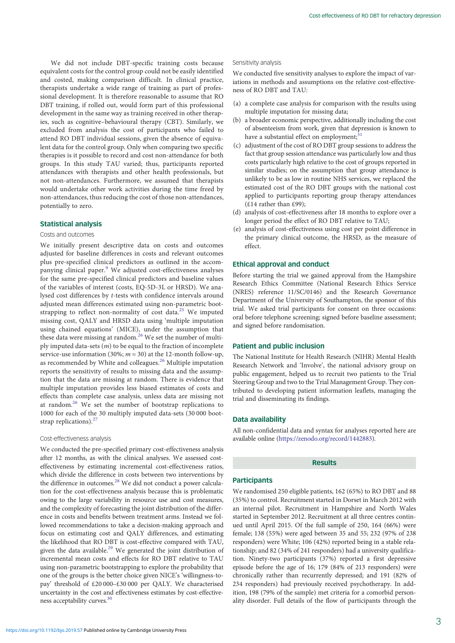We did not include DBT-specific training costs because equivalent costs for the control group could not be easily identified and costed, making comparison difficult. In clinical practice, therapists undertake a wide range of training as part of professional development. It is therefore reasonable to assume that RO DBT training, if rolled out, would form part of this professional development in the same way as training received in other therapies, such as cognitive–behavioural therapy (CBT). Similarly, we excluded from analysis the cost of participants who failed to attend RO DBT individual sessions, given the absence of equivalent data for the control group. Only when comparing two specific therapies is it possible to record and cost non-attendance for both groups. In this study TAU varied; thus, participants reported attendances with therapists and other health professionals, but not non-attendances. Furthermore, we assumed that therapists would undertake other work activities during the time freed by non-attendances, thus reducing the cost of those non-attendances, potentially to zero.

## Statistical analysis

## Costs and outcomes

We initially present descriptive data on costs and outcomes adjusted for baseline differences in costs and relevant outcomes plus pre-specified clinical predictors as outlined in the accom-panying clinical paper.<sup>[9](#page-6-0)</sup> We adjusted cost-effectiveness analyses for the same pre-specified clinical predictors and baseline values of the variables of interest (costs, EQ-5D-3L or HRSD). We analysed cost differences by t-tests with confidence intervals around adjusted mean differences estimated using non-parametric boot-strapping to reflect non-normality of cost data.<sup>[25](#page-6-0)</sup> We imputed missing cost, QALY and HRSD data using 'multiple imputation using chained equations' (MICE), under the assumption that these data were missing at random.<sup>[26](#page-6-0)</sup> We set the number of multiply imputed data-sets  $(m)$  to be equal to the fraction of incomplete service-use information (30%;  $m = 30$ ) at the 12-month follow-up, as recommended by White and colleagues.<sup>[26](#page-6-0)</sup> Multiple imputation reports the sensitivity of results to missing data and the assumption that the data are missing at random. There is evidence that multiple imputation provides less biased estimates of costs and effects than complete case analysis, unless data are missing not at random.[26](#page-6-0) We set the number of bootstrap replications to 1000 for each of the 30 multiply imputed data-sets (30 000 boot-strap replications).<sup>[27](#page-6-0)</sup>

## Cost-effectiveness analysis

We conducted the pre-specified primary cost-effectiveness analysis after 12 months, as with the clinical analyses. We assessed costeffectiveness by estimating incremental cost-effectiveness ratios, which divide the difference in costs between two interventions by the difference in outcomes.<sup>[28](#page-6-0)</sup> We did not conduct a power calculation for the cost-effectiveness analysis because this is problematic owing to the large variability in resource use and cost measures, and the complexity of forecasting the joint distribution of the difference in costs and benefits between treatment arms. Instead we followed recommendations to take a decision-making approach and focus on estimating cost and QALY differences, and estimating the likelihood that RO DBT is cost-effective compared with TAU, given the data available.<sup>[29](#page-6-0)</sup> We generated the joint distribution of incremental mean costs and effects for RO DBT relative to TAU using non-parametric bootstrapping to explore the probability that one of the groups is the better choice given NICE's 'willingness-topay' threshold of £20 000–£30 000 per QALY. We characterised uncertainty in the cost and effectiveness estimates by cost-effectiveness acceptability curves.<sup>30</sup>

We conducted five sensitivity analyses to explore the impact of variations in methods and assumptions on the relative cost-effectiveness of RO DBT and TAU:

- (a) a complete case analysis for comparison with the results using multiple imputation for missing data;
- (b) a broader economic perspective, additionally including the cost of absenteeism from work, given that depression is known to have a substantial effect on employment;<sup>[31](#page-6-0)</sup>
- (c) adjustment of the cost of RO DBT group sessions to address the fact that group session attendance was particularly low and thus costs particularly high relative to the cost of groups reported in similar studies; on the assumption that group attendance is unlikely to be as low in routine NHS services, we replaced the estimated cost of the RO DBT groups with the national cost applied to participants reporting group therapy attendances ( $£14$  rather than £99);
- (d) analysis of cost-effectiveness after 18 months to explore over a longer period the effect of RO DBT relative to TAU;
- (e) analysis of cost-effectiveness using cost per point difference in the primary clinical outcome, the HRSD, as the measure of effect.

# Ethical approval and conduct

Before starting the trial we gained approval from the Hampshire Research Ethics Committee (National Research Ethics Service (NRES) reference 11/SC/0146) and the Research Governance Department of the University of Southampton, the sponsor of this trial. We asked trial participants for consent on three occasions: oral before telephone screening; signed before baseline assessment; and signed before randomisation.

## Patient and public inclusion

The National Institute for Health Research (NIHR) Mental Health Research Network and 'Involve', the national advisory group on public engagement, helped us to recruit two patients to the Trial Steering Group and two to the Trial Management Group. They contributed to developing patient information leaflets, managing the trial and disseminating its findings.

## Data availability

All non-confidential data and syntax for analyses reported here are available online ([https://zenodo.org/record/1442883\)](https://zenodo.org/record/1442883).

## Results

# Participants

We randomised 250 eligible patients, 162 (65%) to RO DBT and 88 (35%) to control. Recruitment started in Dorset in March 2012 with an internal pilot. Recruitment in Hampshire and North Wales started in September 2012. Recruitment at all three centres continued until April 2015. Of the full sample of 250, 164 (66%) were female; 138 (55%) were aged between 35 and 55; 232 (97% of 238 responders) were White; 106 (42%) reported being in a stable relationship; and 82 (34% of 241 responders) had a university qualification. Ninety-two participants (37%) reported a first depressive episode before the age of 16; 179 (84% of 213 responders) were chronically rather than recurrently depressed; and 191 (82% of 234 responders) had previously received psychotherapy. In addition, 198 (79% of the sample) met criteria for a comorbid personality disorder. Full details of the flow of participants through the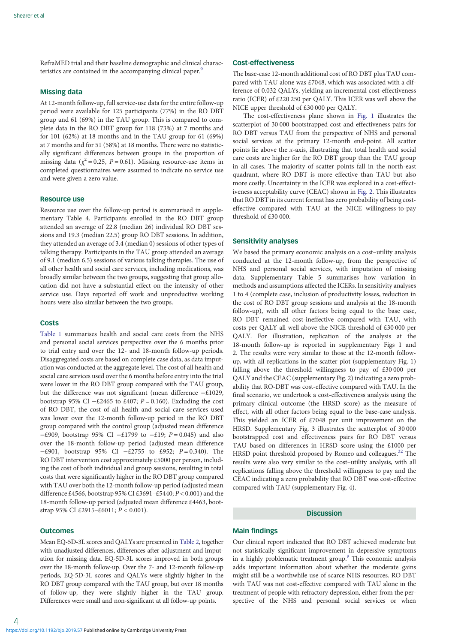RefraMED trial and their baseline demographic and clinical charac-teristics are contained in the accompanying clinical paper.<sup>[9](#page-6-0)</sup>

# Missing data

At 12-month follow-up, full service-use data for the entire follow-up period were available for 125 participants (77%) in the RO DBT group and 61 (69%) in the TAU group. This is compared to complete data in the RO DBT group for 118 (73%) at 7 months and for 101 (62%) at 18 months and in the TAU group for 61 (69%) at 7 months and for 51 (58%) at 18 months. There were no statistically significant differences between groups in the proportion of missing data ( $\chi^2$  = 0.25, P = 0.61). Missing resource-use items in completed questionnaires were assumed to indicate no service use and were given a zero value.

## Resource use

Resource use over the follow-up period is summarised in supplementary Table 4. Participants enrolled in the RO DBT group attended an average of 22.8 (median 26) individual RO DBT sessions and 19.3 (median 22.5) group RO DBT sessions. In addition, they attended an average of 3.4 (median 0) sessions of other types of talking therapy. Participants in the TAU group attended an average of 9.1 (median 6.5) sessions of various talking therapies. The use of all other health and social care services, including medications, was broadly similar between the two groups, suggesting that group allocation did not have a substantial effect on the intensity of other service use. Days reported off work and unproductive working hours were also similar between the two groups.

## **Costs**

[Table 1](#page-4-0) summarises health and social care costs from the NHS and personal social services perspective over the 6 months prior to trial entry and over the 12- and 18-month follow-up periods. Disaggregated costs are based on complete case data, as data imputation was conducted at the aggregate level. The cost of all health and social care services used over the 6 months before entry into the trial were lower in the RO DBT group compared with the TAU group, but the difference was not significant (mean difference −£1029, bootstrap 95% CI  $-\text{\pounds}2465$  to  $\text{\pounds}407$ ;  $P = 0.160$ ). Excluding the cost of RO DBT, the cost of all health and social care services used was lower over the 12-month follow-up period in the RO DBT group compared with the control group (adjusted mean difference −£909, bootstrap 95% CI −£1799 to −£19; P = 0.045) and also over the 18-month follow-up period (adjusted mean difference −£901, bootstrap 95% CI −£2755 to £952; P = 0.340). The RO DBT intervention cost approximately £5000 per person, including the cost of both individual and group sessions, resulting in total costs that were significantly higher in the RO DBT group compared with TAU over both the 12-month follow-up period (adjusted mean difference £4566, bootstrap 95% CI £3691–£5440; P < 0.001) and the 18-month follow-up period (adjusted mean difference £4463, bootstrap 95% CI £2915–£6011;  $P < 0.001$ ).

## **Outcomes**

Mean EQ-5D-3L scores and QALYs are presented in [Table 2](#page-4-0), together with unadjusted differences, differences after adjustment and imputation for missing data. EQ-5D-3L scores improved in both groups over the 18-month follow-up. Over the 7- and 12-month follow-up periods, EQ-5D-3L scores and QALYs were slightly higher in the RO DBT group compared with the TAU group, but over 18 months of follow-up, they were slightly higher in the TAU group. Differences were small and non-significant at all follow-up points.

<https://doi.org/10.1192/bjo.2019.57> Published online by Cambridge University Press

## Cost-effectiveness

The base-case 12-month additional cost of RO DBT plus TAU compared with TAU alone was £7048, which was associated with a difference of 0.032 QALYs, yielding an incremental cost-effectiveness ratio (ICER) of £220 250 per QALY. This ICER was well above the NICE upper threshold of £30 000 per QALY.

The cost-effectiveness plane shown in [Fig. 1](#page-5-0) illustrates the scatterplot of 30 000 bootstrapped cost and effectiveness pairs for RO DBT versus TAU from the perspective of NHS and personal social services at the primary 12-month end-point. All scatter points lie above the x-axis, illustrating that total health and social care costs are higher for the RO DBT group than the TAU group in all cases. The majority of scatter points fall in the north-east quadrant, where RO DBT is more effective than TAU but also more costly. Uncertainty in the ICER was explored in a cost-effectiveness acceptability curve (CEAC) shown in [Fig. 2.](#page-5-0) This illustrates that RO DBT in its current format has zero probability of being costeffective compared with TAU at the NICE willingness-to-pay threshold of £30 000.

#### Sensitivity analyses

We based the primary economic analysis on a cost–utility analysis conducted at the 12-month follow-up, from the perspective of NHS and personal social services, with imputation of missing data. Supplementary Table 5 summarises how variation in methods and assumptions affected the ICERs. In sensitivity analyses 1 to 4 (complete case, inclusion of productivity losses, reduction in the cost of RO DBT group sessions and analysis at the 18-month follow-up), with all other factors being equal to the base case, RO DBT remained cost-ineffective compared with TAU, with costs per QALY all well above the NICE threshold of £30 000 per QALY. For illustration, replication of the analysis at the 18-month follow-up is reported in supplementary Figs 1 and 2. The results were very similar to those at the 12-month followup, with all replications in the scatter plot (supplementary Fig. 1) falling above the threshold willingness to pay of £30 000 per QALY and the CEAC (supplementary Fig. 2) indicating a zero probability that RO-DBT was cost-effective compared with TAU. In the final scenario, we undertook a cost-effectiveness analysis using the primary clinical outcome (the HRSD score) as the measure of effect, with all other factors being equal to the base-case analysis. This yielded an ICER of £7048 per unit improvement on the HRSD. Supplementary Fig. 3 illustrates the scatterplot of 30 000 bootstrapped cost and effectiveness pairs for RO DBT versus TAU based on differences in HRSD score using the £1000 per HRSD point threshold proposed by Romeo and colleagues.<sup>[32](#page-6-0)</sup> The results were also very similar to the cost–utility analysis, with all replications falling above the threshold willingness to pay and the CEAC indicating a zero probability that RO DBT was cost-effective compared with TAU (supplementary Fig. 4).

#### **Discussion**

# Main findings

Our clinical report indicated that RO DBT achieved moderate but not statistically significant improvement in depressive symptoms in a highly problematic treatment group.<sup>[9](#page-6-0)</sup> This economic analysis adds important information about whether the moderate gains might still be a worthwhile use of scarce NHS resources. RO DBT with TAU was not cost-effective compared with TAU alone in the treatment of people with refractory depression, either from the perspective of the NHS and personal social services or when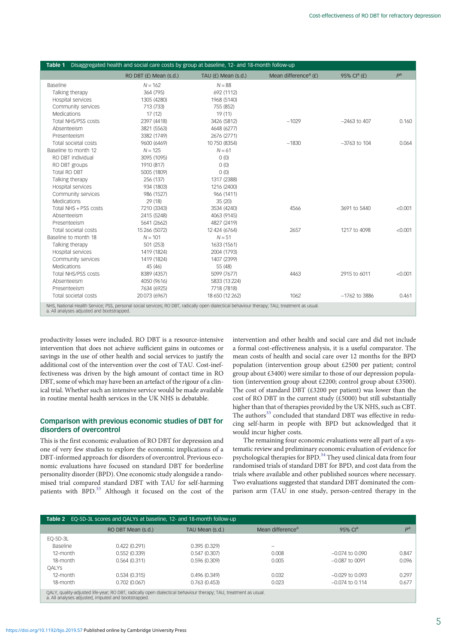<span id="page-4-0"></span>

| Disaggregated health and social care costs by group at baseline, 12- and 18-month follow-up<br>Table 1                                                                                    |                        |                     |                                    |                         |         |  |  |
|-------------------------------------------------------------------------------------------------------------------------------------------------------------------------------------------|------------------------|---------------------|------------------------------------|-------------------------|---------|--|--|
|                                                                                                                                                                                           | RO DBT (£) Mean (s.d.) | TAU (£) Mean (s.d.) | Mean difference <sup>a</sup> $(f)$ | 95% Cl <sup>a</sup> (£) | $P^a$   |  |  |
| Baseline                                                                                                                                                                                  | $N = 162$              | $N = 88$            |                                    |                         |         |  |  |
| Talking therapy                                                                                                                                                                           | 364 (795)              | 692 (1112)          |                                    |                         |         |  |  |
| Hospital services                                                                                                                                                                         | 1305 (4280)            | 1968 (5140)         |                                    |                         |         |  |  |
| Community services                                                                                                                                                                        | 713 (733)              | 755 (852)           |                                    |                         |         |  |  |
| <b>Medications</b>                                                                                                                                                                        | 17(12)                 | 19 (11)             |                                    |                         |         |  |  |
| Total NHS/PSS costs                                                                                                                                                                       | 2397 (4418)            | 3426 (5812)         | $-1029$                            | $-2463$ to $407$        | 0.160   |  |  |
| Absenteeism                                                                                                                                                                               | 3821 (5563)            | 4648 (6277)         |                                    |                         |         |  |  |
| Presenteeism                                                                                                                                                                              | 3382 (1749)            | 2676 (2771)         |                                    |                         |         |  |  |
| Total societal costs                                                                                                                                                                      | 9600 (6469)            | 10750 (8354)        | $-1830$                            | $-3763$ to $104$        | 0.064   |  |  |
| Baseline to month 12                                                                                                                                                                      | $N = 125$              | $N = 61$            |                                    |                         |         |  |  |
| RO DBT individual                                                                                                                                                                         | 3095 (1095)            | 0(0)                |                                    |                         |         |  |  |
| RO DBT groups                                                                                                                                                                             | 1910 (817)             | 0(0)                |                                    |                         |         |  |  |
| <b>Total RO DBT</b>                                                                                                                                                                       | 5005 (1809)            | 0(0)                |                                    |                         |         |  |  |
| Talking therapy                                                                                                                                                                           | 256 (137)              | 1317 (2388)         |                                    |                         |         |  |  |
| Hospital services                                                                                                                                                                         | 934 (1803)             | 1216 (2400)         |                                    |                         |         |  |  |
| Community services                                                                                                                                                                        | 986 (1527)             | 966 (1411)          |                                    |                         |         |  |  |
| Medications                                                                                                                                                                               | 29 (18)                | 35 (20)             |                                    |                         |         |  |  |
| Total NHS + PSS costs                                                                                                                                                                     | 7210 (3343)            | 3534 (4240)         | 4566                               | 3691 to 5440            | < 0.001 |  |  |
| Absenteeism                                                                                                                                                                               | 2415 (5248)            | 4063 (9145)         |                                    |                         |         |  |  |
| Presenteeism                                                                                                                                                                              | 5641 (2662)            | 4827 (2419)         |                                    |                         |         |  |  |
| Total societal costs                                                                                                                                                                      | 15 266 (5072)          | 12 424 (6764)       | 2657                               | 1217 to 4098            | < 0.001 |  |  |
| Baseline to month 18                                                                                                                                                                      | $N = 101$              | $N = 51$            |                                    |                         |         |  |  |
| Talking therapy                                                                                                                                                                           | 501 (253)              | 1633 (1561)         |                                    |                         |         |  |  |
| Hospital services                                                                                                                                                                         | 1419 (1824)            | 2004 (1793)         |                                    |                         |         |  |  |
| Community services                                                                                                                                                                        | 1419 (1824)            | 1407 (2399)         |                                    |                         |         |  |  |
| <b>Medications</b>                                                                                                                                                                        | 45 (46)                | 55 (48)             |                                    |                         |         |  |  |
| Total NHS/PSS costs                                                                                                                                                                       | 8389 (4357)            | 5099 (7677)         | 4463                               | 2915 to 6011            | < 0.001 |  |  |
| Absenteeism                                                                                                                                                                               | 4050 (9616)            | 5833 (13 224)       |                                    |                         |         |  |  |
| Presenteeism                                                                                                                                                                              | 7634 (6925)            | 7718 (7818)         |                                    |                         |         |  |  |
| Total societal costs                                                                                                                                                                      | 20 073 (6967)          | 18 650 (12 262)     | 1062                               | $-1762$ to 3886         | 0.461   |  |  |
| NHS, National Health Service; PSS, personal social services; RO DBT, radically open dialectical behaviour therapy; TAU, treatment as usual.<br>a. All analyses adjusted and bootstrapped. |                        |                     |                                    |                         |         |  |  |

productivity losses were included. RO DBT is a resource-intensive intervention that does not achieve sufficient gains in outcomes or savings in the use of other health and social services to justify the additional cost of the intervention over the cost of TAU. Cost-ineffectiveness was driven by the high amount of contact time in RO DBT, some of which may have been an artefact of the rigour of a clinical trial. Whether such an intensive service would be made available in routine mental health services in the UK NHS is debatable.

# Comparison with previous economic studies of DBT for disorders of overcontrol

This is the first economic evaluation of RO DBT for depression and one of very few studies to explore the economic implications of a DBT-informed approach for disorders of overcontrol. Previous economic evaluations have focused on standard DBT for borderline personality disorder (BPD). One economic study alongside a randomised trial compared standard DBT with TAU for self-harming patients with BPD.<sup>[33](#page-7-0)</sup> Although it focused on the cost of the

intervention and other health and social care and did not include a formal cost-effectiveness analysis, it is a useful comparator. The mean costs of health and social care over 12 months for the BPD population (intervention group about £2500 per patient; control group about £3400) were similar to those of our depression population (intervention group about £2200; control group about £3500). The cost of standard DBT (£3200 per patient) was lower than the cost of RO DBT in the current study (£5000) but still substantially higher than that of therapies provided by the UK NHS, such as CBT. The authors<sup>33</sup> concluded that standard DBT was effective in reducing self-harm in people with BPD but acknowledged that it would incur higher costs.

The remaining four economic evaluations were all part of a systematic review and preliminary economic evaluation of evidence for psychological therapies for BPD.[34](#page-7-0) They used clinical data from four randomised trials of standard DBT for BPD, and cost data from the trials where available and other published sources where necessary. Two evaluations suggested that standard DBT dominated the comparison arm (TAU in one study, person-centred therapy in the

| <b>Table 2</b> EQ-5D-3L scores and QALYs at baseline, 12- and 18-month follow-up                                                                                        |                    |                 |                              |                     |       |  |  |  |
|-------------------------------------------------------------------------------------------------------------------------------------------------------------------------|--------------------|-----------------|------------------------------|---------------------|-------|--|--|--|
|                                                                                                                                                                         | RO DBT Mean (s.d.) | TAU Mean (s.d.) | Mean difference <sup>a</sup> | 95% Cl <sup>a</sup> | $D^a$ |  |  |  |
| EO-5D-3L                                                                                                                                                                |                    |                 |                              |                     |       |  |  |  |
| Baseline                                                                                                                                                                | 0.422(0.291)       | 0.395(0.329)    | $\equiv$                     |                     |       |  |  |  |
| 12-month                                                                                                                                                                | 0.552(0.339)       | 0.547(0.307)    | 0.008                        | $-0.074$ to 0.090   | 0.847 |  |  |  |
| 18-month                                                                                                                                                                | 0.564(0.311)       | 0.596(0.309)    | 0.005                        | $-0.087$ to 0091    | 0.096 |  |  |  |
| <b>OALYS</b>                                                                                                                                                            |                    |                 |                              |                     |       |  |  |  |
| 12-month                                                                                                                                                                | 0.534(0.315)       | 0.496(0.349)    | 0.032                        | $-0.029$ to 0.093   | 0.297 |  |  |  |
| 18-month                                                                                                                                                                | 0.702(0.067)       | 0.763(0.453)    | 0.023                        | $-0.074$ to 0.114   | 0.677 |  |  |  |
| QALY, quality-adjusted life-year; RO DBT, radically open dialectical behaviour therapy; TAU, treatment as usual.<br>a. All analyses adjusted, imputed and bootstrapped. |                    |                 |                              |                     |       |  |  |  |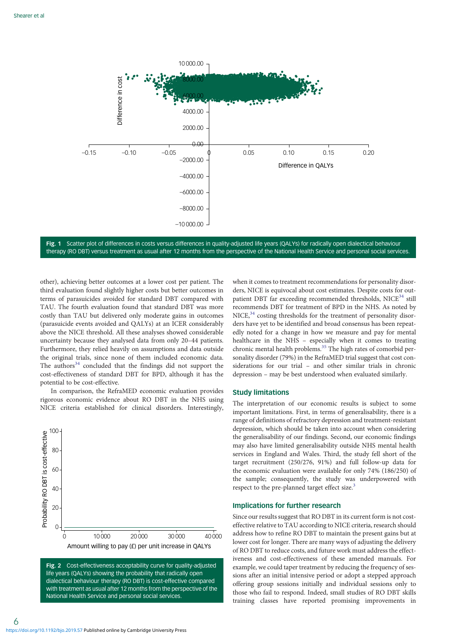<span id="page-5-0"></span>

Fig. 1 Scatter plot of differences in costs versus differences in quality-adjusted life years (QALYs) for radically open dialectical behaviour therapy (RO DBT) versus treatment as usual after 12 months from the perspective of the National Health Service and personal social services.

other), achieving better outcomes at a lower cost per patient. The third evaluation found slightly higher costs but better outcomes in terms of parasuicides avoided for standard DBT compared with TAU. The fourth evaluation found that standard DBT was more costly than TAU but delivered only moderate gains in outcomes (parasuicide events avoided and QALYs) at an ICER considerably above the NICE threshold. All these analyses showed considerable uncertainty because they analysed data from only 20–44 patients. Furthermore, they relied heavily on assumptions and data outside the original trials, since none of them included economic data. The authors<sup>[34](#page-7-0)</sup> concluded that the findings did not support the cost-effectiveness of standard DBT for BPD, although it has the potential to be cost-effective.

In comparison, the RefraMED economic evaluation provides rigorous economic evidence about RO DBT in the NHS using NICE criteria established for clinical disorders. Interestingly,



Fig. 2 Cost-effectiveness acceptability curve for quality-adjusted life years (QALYs) showing the probability that radically open dialectical behaviour therapy (RO DBT) is cost-effective compared with treatment as usual after 12 months from the perspective of the National Health Service and personal social services.

when it comes to treatment recommendations for personality disorders, NICE is equivocal about cost estimates. Despite costs for out-patient DBT far exceeding recommended thresholds, NICE<sup>[34](#page-7-0)</sup> still recommends DBT for treatment of BPD in the NHS. As noted by NICE,<sup>34</sup> costing thresholds for the treatment of personality disorders have yet to be identified and broad consensus has been repeatedly noted for a change in how we measure and pay for mental healthcare in the NHS – especially when it comes to treating chronic mental health problems.[35](#page-7-0) The high rates of comorbid personality disorder (79%) in the RefraMED trial suggest that cost considerations for our trial – and other similar trials in chronic depression – may be best understood when evaluated similarly.

# Study limitations

The interpretation of our economic results is subject to some important limitations. First, in terms of generalisability, there is a range of definitions of refractory depression and treatment-resistant depression, which should be taken into account when considering the generalisability of our findings. Second, our economic findings may also have limited generalisability outside NHS mental health services in England and Wales. Third, the study fell short of the target recruitment (250/276, 91%) and full follow-up data for the economic evaluation were available for only 74% (186/250) of the sample; consequently, the study was underpowered with respect to the pre-planned target effect size.<sup>[3](#page-6-0)</sup>

# Implications for further research

Since our results suggest that RO DBT in its current form is not costeffective relative to TAU according to NICE criteria, research should address how to refine RO DBT to maintain the present gains but at lower cost for longer. There are many ways of adjusting the delivery of RO DBT to reduce costs, and future work must address the effectiveness and cost-effectiveness of these amended manuals. For example, we could taper treatment by reducing the frequency of sessions after an initial intensive period or adopt a stepped approach offering group sessions initially and individual sessions only to those who fail to respond. Indeed, small studies of RO DBT skills training classes have reported promising improvements in

6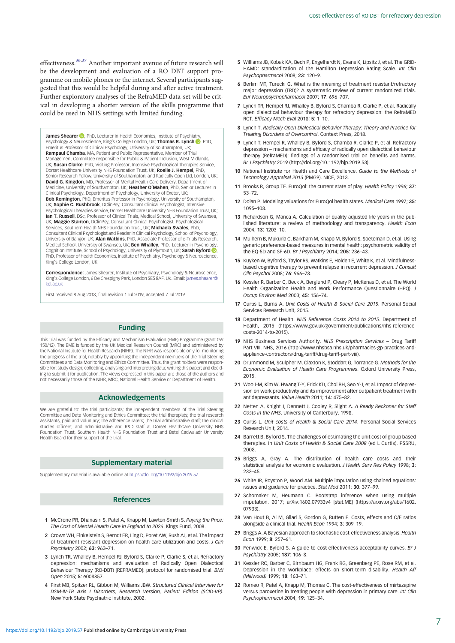<span id="page-6-0"></span>effectiveness.<sup>[36,37](#page-7-0)</sup> Another important avenue of future research will be the development and evaluation of a RO DBT support programme on mobile phones or the internet. Several participants suggested that this would be helpful during and after active treatment. Further exploratory analyses of the RefraMED data-set will be critical in developing a shorter version of the skills programme that could be used in NHS settings with limited funding.

James Shearer (D, PhD, Lecturer in Health Economics, Institute of Psychiatry Psychology & Neuroscience, King's College London, UK; Thomas R. Lynch D, PhD, Emeritus Professor of Clinical Psychology, University of Southampton, UK; Rampaul Chamba, MA, Patient and Public Representative, Member of Trial Management Committee responsible for Public & Patient Inclusion, West Midlands, UK; Susan Clarke, PhD, Visiting Professor, Intensive Psychological Therapies Service, Dorset Healthcare University NHS Foundation Trust, UK; Roelie J. Hempel, PhD, Senior Research Fellow, University of Southampton; and Radically Open Ltd, London, UK; David G. Kingdon, MD, Professor of Mental Health Care Delivery, Department of Medicine, University of Southampton, UK; Heather O'Mahen, PhD, Senior Lecturer in Clinical Psychology, Department of Psychology, University of Exeter, UK; Bob Remington, PhD, Emeritus Professor in Psychology, University of Southampton, UK; Sophie C. Rushbrook, DClinPsy, Consultant Clinical Psychologist, Intensive Psychological Therapies Service, Dorset Healthcare University NHS Foundation Trust, UK; Ian T. Russell, DSc, Professor of Clinical Trials, Medical School, University of Swansea, UK; Maggie Stanton, DClinPsy, Consultant Clinical Psychologist, Psychological Services, Southern Health NHS Foundation Trust, UK; Michaela Swales, PhD, Consultant Clinical Psychologist and Reader in Clinical Psychology, School of Psychology, University of Bangor, UK; Alan Watkins, PhD, Associate Professor of e-Trials Research Medical School, University of Swansea, UK; **Ben Whalley**, PhD, Lecturer in Psychology Cognition Institute[,](https://orcid.org/0000-0001-7084-1495) School of Psychology, University of Plymouth, UK; Sarah Byford PhD, Professor of Health Economics, Institute of Psychiatry, Psychology & Neuroscience, King's College London, UK

Correspondence: James Shearer, Institute of Psychiatry, Psychology & Neuroscience, King's College London, 6 De Crespigny Park, London SE5 8AF, UK. Email: [james.shearer@](mailto:james.shearer@kcl.ac.uk) [kcl.ac.uk](mailto:james.shearer@kcl.ac.uk)

First received 8 Aug 2018, final revision 1 Jul 2019, accepted 7 Jul 2019

#### Funding

This trial was funded by the Efficacy and Mechanism Evaluation (EME) Programme (grant 09/ 150/12). The EME is funded by the UK Medical Research Council (MRC) and administered by the National Institute for Health Research (NIHR). The NIHR was responsible only for monitoring the progress of the trial, notably by appointing the independent members of the Trial Steering Committees and Data Monitoring and Ethics Committee. Thus, the grant holders were responsible for: study design; collecting, analysing and interpreting data; writing this paper; and deciding to submit it for publication. The views expressed in this paper are those of the authors and ng to stamment or pashbaton. The views expressed in this paper are also or the dations of necessarily those of the NIHR, MRC, National Health Service or Department of Health.

#### Acknowledgements

We are grateful to: the trial participants; the independent members of the Trial Steering Committee and Data Monitoring and Ethics Committee; the trial therapists; the trial research assistants, paid and voluntary; the adherence raters; the trial administrative staff; the clinical studies officers; and administrative and R&D staff at Dorset HealthCare University NHS Foundation Trust, Southern Health NHS Foundation Trust and Betsi Cadwaladr University Health Board for their support of the trial.

#### Supplementary material

Supplementary material is available online at <https://doi.org/10.1192/bjo.2019.57>.

#### References

- 1 McCrone PR, Dhanasiri S, Patel A, Knapp M, Lawton-Smith S. Paying the Price: The Cost of Mental Health Care in England to 2026. Kings Fund, 2008.
- 2 Crown WH, Finkelstein S, Berndt ER, Ling D, Poret AW, Rush AJ, et al. The impact of treatment-resistant depression on health care utilization and costs. J Clin Psychiatry 2002; 63: 963–71.
- 3 Lynch TR, Whalley B, Hempel RJ, Byford S, Clarke P, Clarke S, et al. Refractory depression: mechanisms and evaluation of Radically Open Dialectical Behaviour Therapy (RO-DBT) [REFRAMED]: protocol for randomised trial. BMJ Open 2015; 5: e008857.
- 4 First MB, Spitzer RL, Gibbon M, Williams JBW. Structured Clinical Interview for DSM-IV-TR Axis I Disorders, Research Version, Patient Edition (SCID-I/P). New York State Psychiatric Institute, 2002.
- 5 Williams JB, Kobak KA, Bech P, Engelhardt N, Evans K, Lipsitz J, et al. The GRID-HAMD: standardization of the Hamilton Depression Rating Scale. Int Clin Psychopharmacol 2008; 23: 120–9.
- 6 Berlim MT, Turecki G. What is the meaning of treatment resistant/refractory major depression (TRD)? A systematic review of current randomized trials. Eur Neuropsychopharmacol 2007; 17: 696–707.
- 7 Lynch TR, Hempel RJ, Whalley B, Byford S, Chamba R, Clarke P, et al. Radically open dialectical behaviour therapy for refractory depression: the RefraMED RCT. Efficacy Mech Eval 2018; 5: 1–10.
- 8 Lynch T. Radically Open Dialectical Behavior Therapy: Theory and Practice for Treating Disorders of Overcontrol. Context Press, 2018.
- 9 Lynch T, Hempel R, Whalley B, Byford S, Chamba R, Clarke P, et al. Refractory depression – mechanisms and efficacy of radically open dialectical behaviour therapy (RefraMED): findings of a randomised trial on benefits and harms. Br J Psychiatry 2019 (http://doi.org/10.1192/bjp.2019.53).
- 10 National Institute for Health and Care Excellence. Guide to the Methods of Technology Appraisal 2013 (PMG9). NICE, 2013.
- 11 Brooks R, Group TE. EuroQol: the current state of play. Health Policy 1996; 37: 53–72.
- 12 Dolan P. Modeling valuations for EuroQol health states. Medical Care 1997; 35: 1095–108.
- 13 Richardson G, Manca A. Calculation of quality adjusted life years in the published literature: a review of methodology and transparency. Health Econ 2004; 13: 1203–10.
- 14 Mulhern B, Mukuria C, Barkham M, Knapp M, Byford S, Soeteman D, et al. Using generic preference-based measures in mental health: psychometric validity of the EQ-5D and SF-6D. Br J Psychiatry 2014; 205: 236–43.
- 15 Kuyken W, Byford S, Taylor RS, Watkins E, Holden E, White K, et al. Mindfulnessbased cognitive therapy to prevent relapse in recurrent depression. J Consult Clin Psychol 2008; 76: 966–78.
- 16 Kessler R, Barber C, Beck A, Berglund P, Cleary P, McKenas D, et al. The World Health Organization Health and Work Performance Questionnaire (HPQ). J Occup Environ Med 2003; 45: 156–74.
- 17 Curtis L, Burns A. Unit Costs of Health & Social Care 2015. Personal Social Services Research Unit, 2015.
- 18 Department of Health. NHS Reference Costs 2014 to 2015. Department of Health, 2015 (https://www.gov.uk/government/publications/nhs-referencecosts-2014-to-2015).
- 19 NHS Business Services Authority. NHS Prescription Services Drug Tariff Part VIII. NHS, 2016 (http://www.nhsbsa.nhs.uk/pharmacies-gp-practices-andappliance-contractors/drug-tariff/drug-tariff-part-viii).
- 20 Drummond M, Sculpher M, Claxton K, Stoddart G, Torrance G, Methods for the Economic Evaluation of Health Care Programmes. Oxford University Press, 2015.
- 21 Woo J-M, Kim W, Hwang T-Y, Frick KD, Choi BH, Seo Y-J, et al. Impact of depression on work productivity and its improvement after outpatient treatment with antidepressants. Value Health 2011; 14: 475–82.
- 22 Netten A, Knight J, Dennett J, Cooley R, Slight A. A Ready Reckoner for Staff Costs in the NHS. University of Canterbury, 1998.
- 23 Curtis L. Unit costs of Health & Social Care 2014. Personal Social Services Research Unit, 2014.
- 24 Barrett B, Byford S. The challenges of estimating the unit cost of group based therapies. In Unit Costs of Health & Social Care 2008 (ed L Curtis). PSSRU, 2008.
- 25 Briggs A, Gray A. The distribution of health care costs and their statistical analysis for economic evaluation. J Health Serv Res Policy 1998; 3: 233–45.
- 26 White IR, Royston P, Wood AM. Multiple imputation using chained equations: issues and guidance for practice. Stat Med 2011; 30: 377–99.
- 27 Schomaker M, Heumann C. Bootstrap inference when using multiple imputation. 2017; arXiv:1602.07933v4 [stat.ME] (https://arxiv.org/abs/1602. 07933).
- 28 Van Hout B, Al M, Gilad S, Gordon G, Rutten F. Costs, effects and C/E ratios alongside a clinical trial. Health Econ 1994; 3: 309–19.
- 29 Briggs A. A Bayesian approach to stochastic cost-effectiveness analysis. Health Econ 1999; 8: 257–61.
- 30 Fenwick E, Byford S. A guide to cost-effectiveness acceptability curves. Br J Psychiatry 2005; 187: 106–8.
- 31 Kessler RC, Barber C, Birnbaum HG, Frank RG, Greenberg PE, Rose RM, et al. Depression in the workplace: effects on short-term disability. Health Aff (Millwood) 1999; 18: 163–71.
- 32 Romeo R, Patel A, Knapp M, Thomas C. The cost-effectiveness of mirtazapine versus paroxetine in treating people with depression in primary care. Int Clin Psychopharmacol 2004; 19: 125–34.